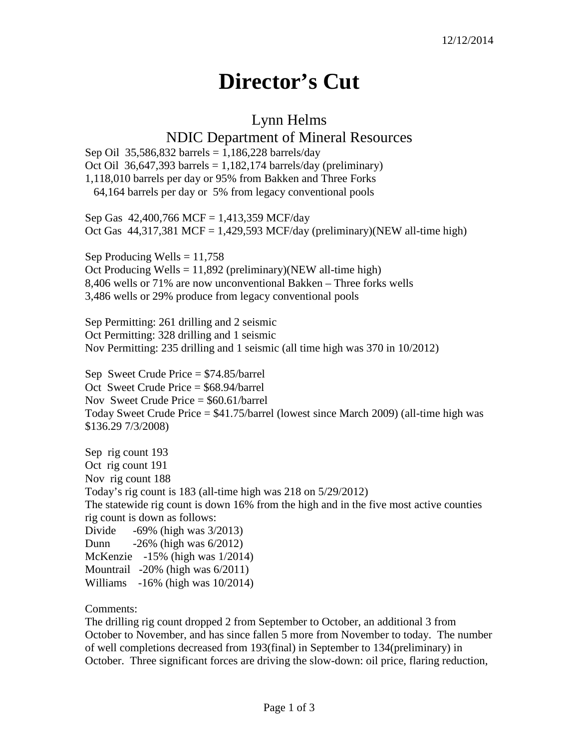## **Director's Cut**

## Lynn Helms

## NDIC Department of Mineral Resources

Sep Oil 35,586,832 barrels =  $1,186,228$  barrels/day Oct Oil 36,647,393 barrels =  $1,182,174$  barrels/day (preliminary) 1,118,010 barrels per day or 95% from Bakken and Three Forks 64,164 barrels per day or 5% from legacy conventional pools

Sep Gas 42,400,766 MCF = 1,413,359 MCF/day Oct Gas  $44,317,381$  MCF = 1,429,593 MCF/day (preliminary)(NEW all-time high)

Sep Producing Wells  $= 11,758$ Oct Producing Wells =  $11,892$  (preliminary)(NEW all-time high) 8,406 wells or 71% are now unconventional Bakken – Three forks wells 3,486 wells or 29% produce from legacy conventional pools

Sep Permitting: 261 drilling and 2 seismic Oct Permitting: 328 drilling and 1 seismic Nov Permitting: 235 drilling and 1 seismic (all time high was 370 in 10/2012)

Sep Sweet Crude Price = \$74.85/barrel Oct Sweet Crude Price = \$68.94/barrel Nov Sweet Crude Price = \$60.61/barrel Today Sweet Crude Price = \$41.75/barrel (lowest since March 2009) (all-time high was \$136.29 7/3/2008)

Sep rig count 193 Oct rig count 191 Nov rig count 188 Today's rig count is 183 (all-time high was 218 on 5/29/2012) The statewide rig count is down 16% from the high and in the five most active counties rig count is down as follows: Divide  $-69\%$  (high was  $3/2013$ ) Dunn -26% (high was 6/2012) McKenzie -15% (high was 1/2014) Mountrail -20% (high was 6/2011) Williams -16% (high was 10/2014)

Comments:

The drilling rig count dropped 2 from September to October, an additional 3 from October to November, and has since fallen 5 more from November to today. The number of well completions decreased from 193(final) in September to 134(preliminary) in October. Three significant forces are driving the slow-down: oil price, flaring reduction,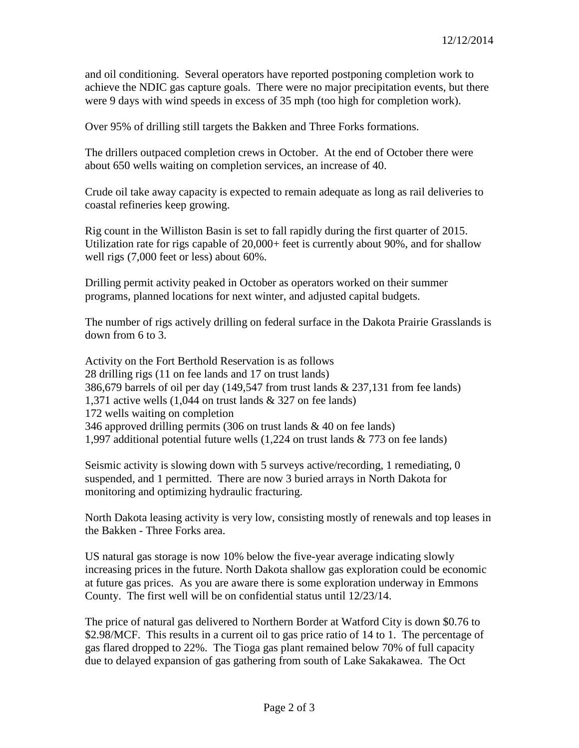and oil conditioning. Several operators have reported postponing completion work to achieve the NDIC gas capture goals. There were no major precipitation events, but there were 9 days with wind speeds in excess of 35 mph (too high for completion work).

Over 95% of drilling still targets the Bakken and Three Forks formations.

The drillers outpaced completion crews in October. At the end of October there were about 650 wells waiting on completion services, an increase of 40.

Crude oil take away capacity is expected to remain adequate as long as rail deliveries to coastal refineries keep growing.

Rig count in the Williston Basin is set to fall rapidly during the first quarter of 2015. Utilization rate for rigs capable of 20,000+ feet is currently about 90%, and for shallow well rigs (7,000 feet or less) about 60%.

Drilling permit activity peaked in October as operators worked on their summer programs, planned locations for next winter, and adjusted capital budgets.

The number of rigs actively drilling on federal surface in the Dakota Prairie Grasslands is down from 6 to 3.

Activity on the Fort Berthold Reservation is as follows 28 drilling rigs (11 on fee lands and 17 on trust lands) 386,679 barrels of oil per day (149,547 from trust lands & 237,131 from fee lands) 1,371 active wells (1,044 on trust lands & 327 on fee lands) 172 wells waiting on completion 346 approved drilling permits (306 on trust lands & 40 on fee lands) 1,997 additional potential future wells (1,224 on trust lands & 773 on fee lands)

Seismic activity is slowing down with 5 surveys active/recording, 1 remediating, 0 suspended, and 1 permitted. There are now 3 buried arrays in North Dakota for monitoring and optimizing hydraulic fracturing.

North Dakota leasing activity is very low, consisting mostly of renewals and top leases in the Bakken - Three Forks area.

US natural gas storage is now 10% below the five-year average indicating slowly increasing prices in the future. North Dakota shallow gas exploration could be economic at future gas prices. As you are aware there is some exploration underway in Emmons County. The first well will be on confidential status until 12/23/14.

The price of natural gas delivered to Northern Border at Watford City is down \$0.76 to \$2.98/MCF. This results in a current oil to gas price ratio of 14 to 1. The percentage of gas flared dropped to 22%. The Tioga gas plant remained below 70% of full capacity due to delayed expansion of gas gathering from south of Lake Sakakawea. The Oct